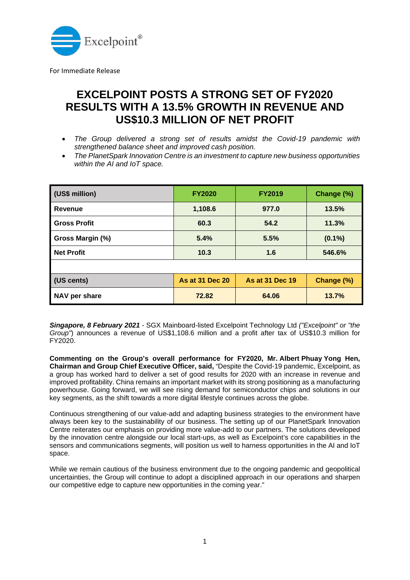

For Immediate Release

## **EXCELPOINT POSTS A STRONG SET OF FY2020 RESULTS WITH A 13.5% GROWTH IN REVENUE AND US\$10.3 MILLION OF NET PROFIT**

- *The Group delivered a strong set of results amidst the Covid-19 pandemic with strengthened balance sheet and improved cash position.*
- *The PlanetSpark Innovation Centre is an investment to capture new business opportunities within the AI and IoT space.*

| (US\$ million)      | <b>FY2020</b>          | <b>FY2019</b>          | Change (%) |
|---------------------|------------------------|------------------------|------------|
| Revenue             | 1,108.6                | 977.0                  | 13.5%      |
| <b>Gross Profit</b> | 60.3                   | 54.2                   | 11.3%      |
| Gross Margin (%)    | 5.4%                   | 5.5%                   | $(0.1\%)$  |
| <b>Net Profit</b>   | 10.3                   | 1.6                    | 546.6%     |
|                     |                        |                        |            |
| (US cents)          | <b>As at 31 Dec 20</b> | <b>As at 31 Dec 19</b> | Change (%) |
| NAV per share       | 72.82                  | 64.06                  | 13.7%      |

*Singapore, 8 February 2021* - SGX Mainboard-listed Excelpoint Technology Ltd *("Excelpoint" or "the Group"*) announces a revenue of US\$1,108.6 million and a profit after tax of US\$10.3 million for FY2020.

**Commenting on the Group's overall performance for FY2020, Mr. Albert Phuay Yong Hen, Chairman and Group Chief Executive Officer, said,** "Despite the Covid-19 pandemic, Excelpoint, as a group has worked hard to deliver a set of good results for 2020 with an increase in revenue and improved profitability. China remains an important market with its strong positioning as a manufacturing powerhouse. Going forward, we will see rising demand for semiconductor chips and solutions in our key segments, as the shift towards a more digital lifestyle continues across the globe.

Continuous strengthening of our value-add and adapting business strategies to the environment have always been key to the sustainability of our business. The setting up of our PlanetSpark Innovation Centre reiterates our emphasis on providing more value-add to our partners. The solutions developed by the innovation centre alongside our local start-ups, as well as Excelpoint's core capabilities in the sensors and communications segments, will position us well to harness opportunities in the AI and IoT space.

While we remain cautious of the business environment due to the ongoing pandemic and geopolitical uncertainties, the Group will continue to adopt a disciplined approach in our operations and sharpen our competitive edge to capture new opportunities in the coming year."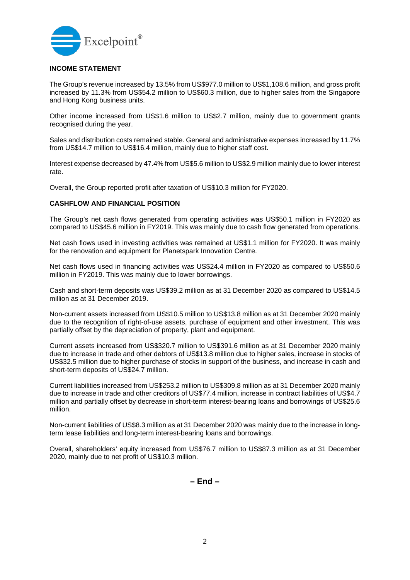

## **INCOME STATEMENT**

The Group's revenue increased by 13.5% from US\$977.0 million to US\$1,108.6 million, and gross profit increased by 11.3% from US\$54.2 million to US\$60.3 million, due to higher sales from the Singapore and Hong Kong business units.

Other income increased from US\$1.6 million to US\$2.7 million, mainly due to government grants recognised during the year.

Sales and distribution costs remained stable. General and administrative expenses increased by 11.7% from US\$14.7 million to US\$16.4 million, mainly due to higher staff cost.

Interest expense decreased by 47.4% from US\$5.6 million to US\$2.9 million mainly due to lower interest rate.

Overall, the Group reported profit after taxation of US\$10.3 million for FY2020.

## **CASHFLOW AND FINANCIAL POSITION**

The Group's net cash flows generated from operating activities was US\$50.1 million in FY2020 as compared to US\$45.6 million in FY2019. This was mainly due to cash flow generated from operations.

Net cash flows used in investing activities was remained at US\$1.1 million for FY2020. It was mainly for the renovation and equipment for Planetspark Innovation Centre.

Net cash flows used in financing activities was US\$24.4 million in FY2020 as compared to US\$50.6 million in FY2019. This was mainly due to lower borrowings.

Cash and short-term deposits was US\$39.2 million as at 31 December 2020 as compared to US\$14.5 million as at 31 December 2019.

Non-current assets increased from US\$10.5 million to US\$13.8 million as at 31 December 2020 mainly due to the recognition of right-of-use assets, purchase of equipment and other investment. This was partially offset by the depreciation of property, plant and equipment.

Current assets increased from US\$320.7 million to US\$391.6 million as at 31 December 2020 mainly due to increase in trade and other debtors of US\$13.8 million due to higher sales, increase in stocks of US\$32.5 million due to higher purchase of stocks in support of the business, and increase in cash and short-term deposits of US\$24.7 million.

Current liabilities increased from US\$253.2 million to US\$309.8 million as at 31 December 2020 mainly due to increase in trade and other creditors of US\$77.4 million, increase in contract liabilities of US\$4.7 million and partially offset by decrease in short-term interest-bearing loans and borrowings of US\$25.6 million.

Non-current liabilities of US\$8.3 million as at 31 December 2020 was mainly due to the increase in longterm lease liabilities and long-term interest-bearing loans and borrowings.

Overall, shareholders' equity increased from US\$76.7 million to US\$87.3 million as at 31 December 2020, mainly due to net profit of US\$10.3 million.

**– End –**